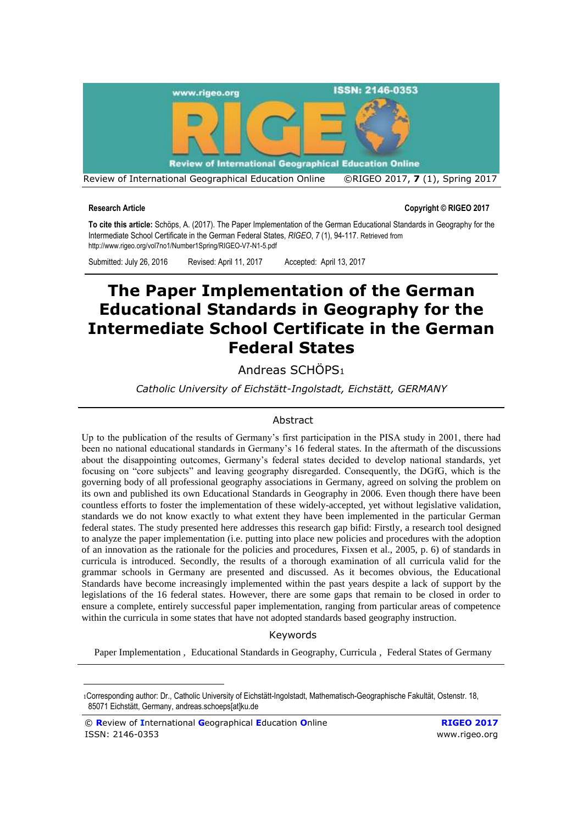

**Research Article Copyright © RIGEO 2017**

**To cite this article:** Schöps, A. (2017). The Paper Implementation of the German Educational Standards in Geography for the Intermediate School Certificate in the German Federal States, *RIGEO*, *7* (1), 94-117. Retrieved from http://www.rigeo.org/vol7no1/Number1Spring/RIGEO-V7-N1-5.pdf

Submitted: July 26, 2016 Revised: April 11, 2017 Accepted: April 13, 2017

# **The Paper Implementation of the German Educational Standards in Geography for the Intermediate School Certificate in the German Federal States**

Andreas SCHÖPS<sup>1</sup>

*Catholic University of Eichstätt-Ingolstadt, Eichstätt, GERMANY*

# Abstract

Up to the publication of the results of Germany's first participation in the PISA study in 2001, there had been no national educational standards in Germany's 16 federal states. In the aftermath of the discussions about the disappointing outcomes, Germany's federal states decided to develop national standards, yet focusing on "core subjects" and leaving geography disregarded. Consequently, the DGfG, which is the governing body of all professional geography associations in Germany, agreed on solving the problem on its own and published its own Educational Standards in Geography in 2006. Even though there have been countless efforts to foster the implementation of these widely-accepted, yet without legislative validation, standards we do not know exactly to what extent they have been implemented in the particular German federal states. The study presented here addresses this research gap bifid: Firstly, a research tool designed to analyze the paper implementation (i.e. putting into place new policies and procedures with the adoption of an innovation as the rationale for the policies and procedures, Fixsen et al., 2005, p. 6) of standards in curricula is introduced. Secondly, the results of a thorough examination of all curricula valid for the grammar schools in Germany are presented and discussed. As it becomes obvious, the Educational Standards have become increasingly implemented within the past years despite a lack of support by the legislations of the 16 federal states. However, there are some gaps that remain to be closed in order to ensure a complete, entirely successful paper implementation, ranging from particular areas of competence within the curricula in some states that have not adopted standards based geography instruction.

Keywords

Paper Implementation , Educational Standards in Geography, Curricula , Federal States of Germany

<sup>1</sup>Corresponding author: Dr., Catholic University of Eichstätt-Ingolstadt, Mathematisch-Geographische Fakultät, Ostenstr. 18, 85071 Eichstätt, Germany, andreas.schoeps[at]ku.de

<sup>©</sup> **R**eview of **I**nternational **G**eographical **E**ducation **O**nline **RIGEO 2017** ISSN: 2146-0353 [www.rigeo.org](http://www.rigeo.org/)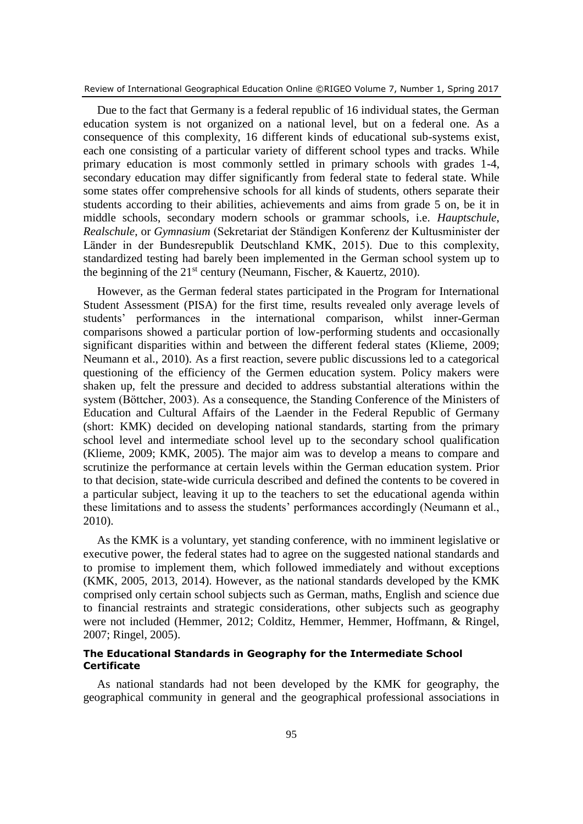Review of International Geographical Education Online ©RIGEO Volume 7, Number 1, Spring 2017

Due to the fact that Germany is a federal republic of 16 individual states, the German education system is not organized on a national level, but on a federal one. As a consequence of this complexity, 16 different kinds of educational sub-systems exist, each one consisting of a particular variety of different school types and tracks. While primary education is most commonly settled in primary schools with grades 1-4, secondary education may differ significantly from federal state to federal state. While some states offer comprehensive schools for all kinds of students, others separate their students according to their abilities, achievements and aims from grade 5 on, be it in middle schools, secondary modern schools or grammar schools, i.e. *Hauptschule*, *Realschule*, or *Gymnasium* (Sekretariat der Ständigen Konferenz der Kultusminister der Länder in der Bundesrepublik Deutschland KMK, 2015). Due to this complexity, standardized testing had barely been implemented in the German school system up to the beginning of the  $21<sup>st</sup>$  century (Neumann, Fischer, & Kauertz, 2010).

However, as the German federal states participated in the Program for International Student Assessment (PISA) for the first time, results revealed only average levels of students' performances in the international comparison, whilst inner-German comparisons showed a particular portion of low-performing students and occasionally significant disparities within and between the different federal states (Klieme, 2009; Neumann et al., 2010). As a first reaction, severe public discussions led to a categorical questioning of the efficiency of the Germen education system. Policy makers were shaken up, felt the pressure and decided to address substantial alterations within the system (Böttcher, 2003). As a consequence, the Standing Conference of the Ministers of Education and Cultural Affairs of the Laender in the Federal Republic of Germany (short: KMK) decided on developing national standards, starting from the primary school level and intermediate school level up to the secondary school qualification (Klieme, 2009; KMK, 2005). The major aim was to develop a means to compare and scrutinize the performance at certain levels within the German education system. Prior to that decision, state-wide curricula described and defined the contents to be covered in a particular subject, leaving it up to the teachers to set the educational agenda within these limitations and to assess the students' performances accordingly (Neumann et al., 2010).

As the KMK is a voluntary, yet standing conference, with no imminent legislative or executive power, the federal states had to agree on the suggested national standards and to promise to implement them, which followed immediately and without exceptions (KMK, 2005, 2013, 2014). However, as the national standards developed by the KMK comprised only certain school subjects such as German, maths, English and science due to financial restraints and strategic considerations, other subjects such as geography were not included (Hemmer, 2012; Colditz, Hemmer, Hemmer, Hoffmann, & Ringel, 2007; Ringel, 2005).

# **The Educational Standards in Geography for the Intermediate School Certificate**

As national standards had not been developed by the KMK for geography, the geographical community in general and the geographical professional associations in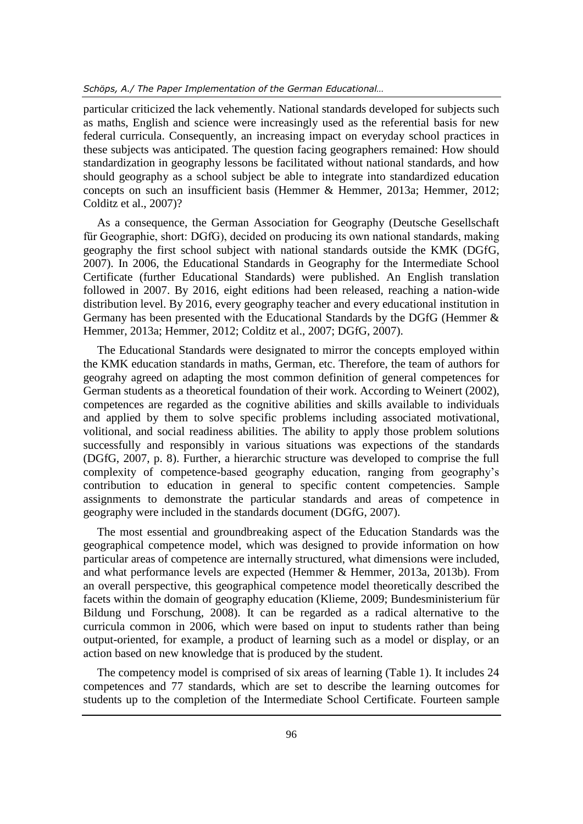### *Schöps, A./ The Paper Implementation of the German Educational…*

particular criticized the lack vehemently. National standards developed for subjects such as maths, English and science were increasingly used as the referential basis for new federal curricula. Consequently, an increasing impact on everyday school practices in these subjects was anticipated. The question facing geographers remained: How should standardization in geography lessons be facilitated without national standards, and how should geography as a school subject be able to integrate into standardized education concepts on such an insufficient basis (Hemmer & Hemmer, 2013a; Hemmer, 2012; Colditz et al., 2007)?

As a consequence, the German Association for Geography (Deutsche Gesellschaft für Geographie, short: DGfG), decided on producing its own national standards, making geography the first school subject with national standards outside the KMK (DGfG, 2007). In 2006, the Educational Standards in Geography for the Intermediate School Certificate (further Educational Standards) were published. An English translation followed in 2007. By 2016, eight editions had been released, reaching a nation-wide distribution level. By 2016, every geography teacher and every educational institution in Germany has been presented with the Educational Standards by the DGfG (Hemmer & Hemmer, 2013a; Hemmer, 2012; Colditz et al., 2007; DGfG, 2007).

The Educational Standards were designated to mirror the concepts employed within the KMK education standards in maths, German, etc. Therefore, the team of authors for geograhy agreed on adapting the most common definition of general competences for German students as a theoretical foundation of their work. According to Weinert (2002), competences are regarded as the cognitive abilities and skills available to individuals and applied by them to solve specific problems including associated motivational, volitional, and social readiness abilities. The ability to apply those problem solutions successfully and responsibly in various situations was expections of the standards (DGfG, 2007, p. 8). Further, a hierarchic structure was developed to comprise the full complexity of competence-based geography education, ranging from geography's contribution to education in general to specific content competencies. Sample assignments to demonstrate the particular standards and areas of competence in geography were included in the standards document (DGfG, 2007).

The most essential and groundbreaking aspect of the Education Standards was the geographical competence model, which was designed to provide information on how particular areas of competence are internally structured, what dimensions were included, and what performance levels are expected (Hemmer & Hemmer, 2013a, 2013b). From an overall perspective, this geographical competence model theoretically described the facets within the domain of geography education (Klieme, 2009; Bundesministerium für Bildung und Forschung, 2008). It can be regarded as a radical alternative to the curricula common in 2006, which were based on input to students rather than being output-oriented, for example, a product of learning such as a model or display, or an action based on new knowledge that is produced by the student.

The competency model is comprised of six areas of learning (Table 1). It includes 24 competences and 77 standards, which are set to describe the learning outcomes for students up to the completion of the Intermediate School Certificate. Fourteen sample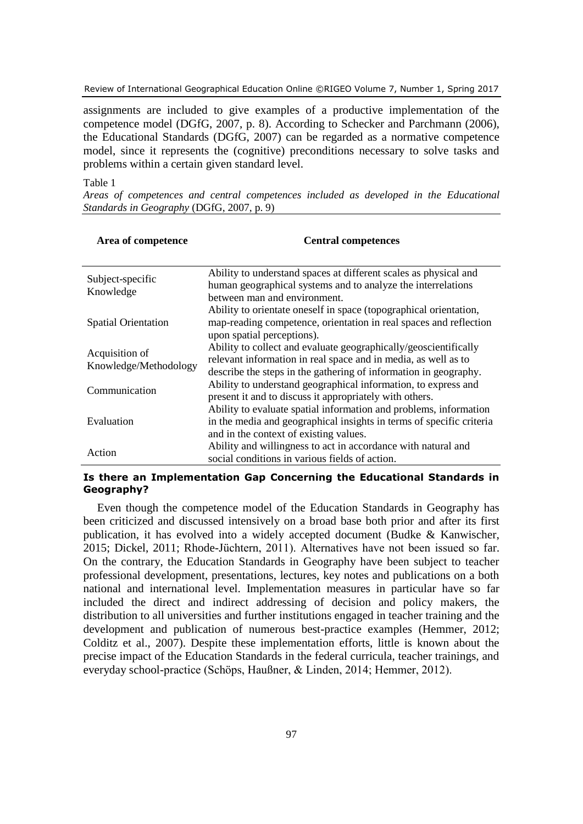Review of International Geographical Education Online ©RIGEO Volume 7, Number 1, Spring 2017

assignments are included to give examples of a productive implementation of the competence model (DGfG, 2007, p. 8). According to Schecker and Parchmann (2006), the Educational Standards (DGfG, 2007) can be regarded as a normative competence model, since it represents the (cognitive) preconditions necessary to solve tasks and problems within a certain given standard level.

### Table 1

*Areas of competences and central competences included as developed in the Educational Standards in Geography* (DGfG, 2007, p. 9)

| Area of competence                      | <b>Central competences</b>                                                                                                                                                                             |
|-----------------------------------------|--------------------------------------------------------------------------------------------------------------------------------------------------------------------------------------------------------|
| Subject-specific<br>Knowledge           | Ability to understand spaces at different scales as physical and<br>human geographical systems and to analyze the interrelations<br>between man and environment.                                       |
| <b>Spatial Orientation</b>              | Ability to orientate oneself in space (topographical orientation,<br>map-reading competence, orientation in real spaces and reflection<br>upon spatial perceptions).                                   |
| Acquisition of<br>Knowledge/Methodology | Ability to collect and evaluate geographically/geoscientifically<br>relevant information in real space and in media, as well as to<br>describe the steps in the gathering of information in geography. |
| Communication                           | Ability to understand geographical information, to express and<br>present it and to discuss it appropriately with others.                                                                              |
| Evaluation                              | Ability to evaluate spatial information and problems, information<br>in the media and geographical insights in terms of specific criteria<br>and in the context of existing values.                    |
| Action                                  | Ability and willingness to act in accordance with natural and<br>social conditions in various fields of action.                                                                                        |

# **Is there an Implementation Gap Concerning the Educational Standards in Geography?**

Even though the competence model of the Education Standards in Geography has been criticized and discussed intensively on a broad base both prior and after its first publication, it has evolved into a widely accepted document (Budke & Kanwischer, 2015; Dickel, 2011; Rhode-Jüchtern, 2011). Alternatives have not been issued so far. On the contrary, the Education Standards in Geography have been subject to teacher professional development, presentations, lectures, key notes and publications on a both national and international level. Implementation measures in particular have so far included the direct and indirect addressing of decision and policy makers, the distribution to all universities and further institutions engaged in teacher training and the development and publication of numerous best-practice examples (Hemmer, 2012; Colditz et al., 2007). Despite these implementation efforts, little is known about the precise impact of the Education Standards in the federal curricula, teacher trainings, and everyday school-practice (Schöps, Haußner, & Linden, 2014; Hemmer, 2012).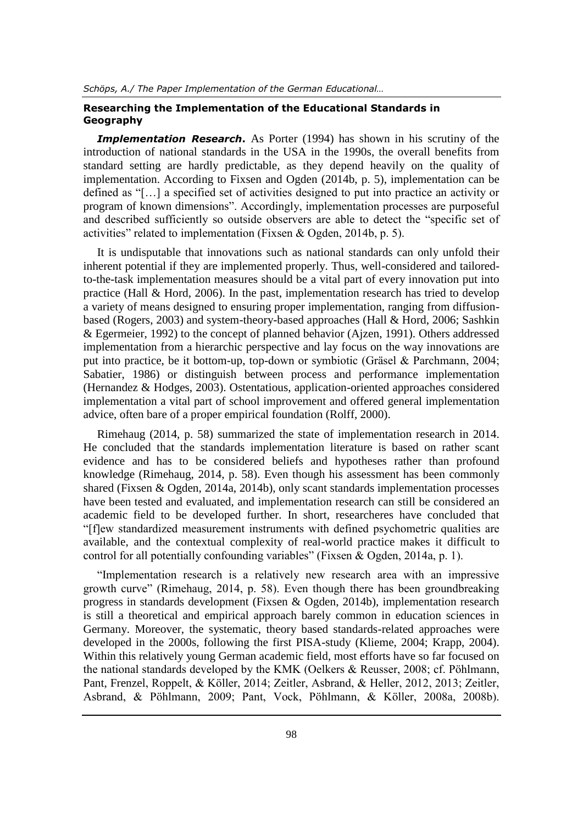# **Researching the Implementation of the Educational Standards in Geography**

**Implementation Research.** As Porter (1994) has shown in his scrutiny of the introduction of national standards in the USA in the 1990s, the overall benefits from standard setting are hardly predictable, as they depend heavily on the quality of implementation. According to Fixsen and Ogden (2014b, p. 5), implementation can be defined as "[…] a specified set of activities designed to put into practice an activity or program of known dimensions". Accordingly, implementation processes are purposeful and described sufficiently so outside observers are able to detect the "specific set of activities" related to implementation (Fixsen & Ogden, 2014b, p. 5).

It is undisputable that innovations such as national standards can only unfold their inherent potential if they are implemented properly. Thus, well-considered and tailoredto-the-task implementation measures should be a vital part of every innovation put into practice (Hall  $\&$  Hord, 2006). In the past, implementation research has tried to develop a variety of means designed to ensuring proper implementation, ranging from diffusionbased (Rogers, 2003) and system-theory-based approaches (Hall & Hord, 2006; Sashkin & Egermeier, 1992) to the concept of planned behavior (Ajzen, 1991). Others addressed implementation from a hierarchic perspective and lay focus on the way innovations are put into practice, be it bottom-up, top-down or symbiotic (Gräsel & Parchmann, 2004; Sabatier, 1986) or distinguish between process and performance implementation (Hernandez & Hodges, 2003). Ostentatious, application-oriented approaches considered implementation a vital part of school improvement and offered general implementation advice, often bare of a proper empirical foundation (Rolff, 2000).

Rimehaug (2014, p. 58) summarized the state of implementation research in 2014. He concluded that the standards implementation literature is based on rather scant evidence and has to be considered beliefs and hypotheses rather than profound knowledge (Rimehaug, 2014, p. 58). Even though his assessment has been commonly shared (Fixsen & Ogden, 2014a, 2014b), only scant standards implementation processes have been tested and evaluated, and implementation research can still be considered an academic field to be developed further. In short, researcheres have concluded that "[f]ew standardized measurement instruments with defined psychometric qualities are available, and the contextual complexity of real-world practice makes it difficult to control for all potentially confounding variables" (Fixsen & Ogden, 2014a, p. 1).

"Implementation research is a relatively new research area with an impressive growth curve" (Rimehaug, 2014, p. 58). Even though there has been groundbreaking progress in standards development (Fixsen & Ogden, 2014b), implementation research is still a theoretical and empirical approach barely common in education sciences in Germany. Moreover, the systematic, theory based standards-related approaches were developed in the 2000s, following the first PISA-study (Klieme, 2004; Krapp, 2004). Within this relatively young German academic field, most efforts have so far focused on the national standards developed by the KMK (Oelkers & Reusser, 2008; cf. Pöhlmann, Pant, Frenzel, Roppelt, & Köller, 2014; Zeitler, Asbrand, & Heller, 2012, 2013; Zeitler, Asbrand, & Pöhlmann, 2009; Pant, Vock, Pöhlmann, & Köller, 2008a, 2008b).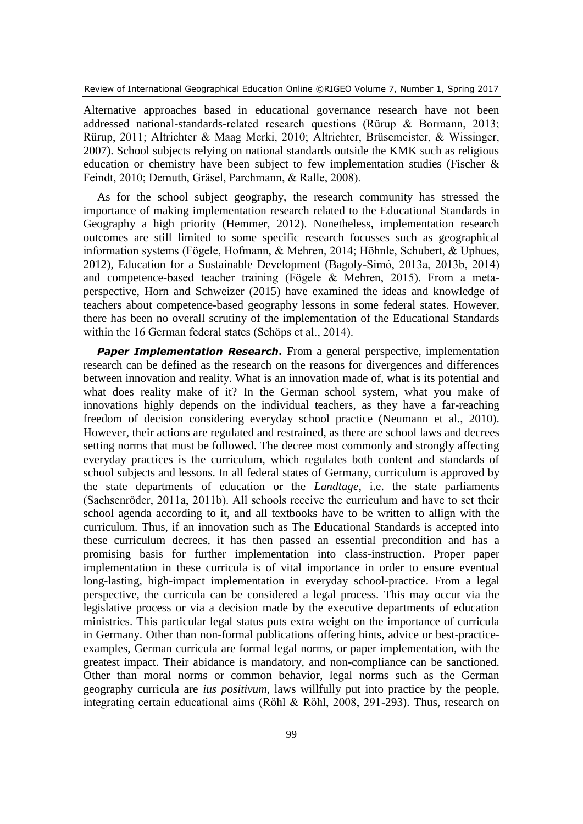Alternative approaches based in educational governance research have not been addressed national-standards-related research questions (Rürup & Bormann, 2013; Rürup, 2011; Altrichter & Maag Merki, 2010; Altrichter, Brüsemeister, & Wissinger, 2007). School subjects relying on national standards outside the KMK such as religious education or chemistry have been subject to few implementation studies (Fischer & Feindt, 2010; Demuth, Gräsel, Parchmann, & Ralle, 2008).

As for the school subject geography, the research community has stressed the importance of making implementation research related to the Educational Standards in Geography a high priority (Hemmer, 2012). Nonetheless, implementation research outcomes are still limited to some specific research focusses such as geographical information systems (Fögele, Hofmann, & Mehren, 2014; Höhnle, Schubert, & Uphues, 2012), Education for a Sustainable Development (Bagoly-Simó, 2013a, 2013b, 2014) and competence-based teacher training (Fögele & Mehren, 2015). From a metaperspective, Horn and Schweizer (2015) have examined the ideas and knowledge of teachers about competence-based geography lessons in some federal states. However, there has been no overall scrutiny of the implementation of the Educational Standards within the 16 German federal states (Schöps et al., 2014).

**Paper Implementation Research.** From a general perspective, implementation research can be defined as the research on the reasons for divergences and differences between innovation and reality. What is an innovation made of, what is its potential and what does reality make of it? In the German school system, what you make of innovations highly depends on the individual teachers, as they have a far-reaching freedom of decision considering everyday school practice (Neumann et al., 2010). However, their actions are regulated and restrained, as there are school laws and decrees setting norms that must be followed. The decree most commonly and strongly affecting everyday practices is the curriculum, which regulates both content and standards of school subjects and lessons. In all federal states of Germany, curriculum is approved by the state departments of education or the *Landtage*, i.e. the state parliaments (Sachsenröder, 2011a, 2011b). All schools receive the curriculum and have to set their school agenda according to it, and all textbooks have to be written to allign with the curriculum. Thus, if an innovation such as The Educational Standards is accepted into these curriculum decrees, it has then passed an essential precondition and has a promising basis for further implementation into class-instruction. Proper paper implementation in these curricula is of vital importance in order to ensure eventual long-lasting, high-impact implementation in everyday school-practice. From a legal perspective, the curricula can be considered a legal process. This may occur via the legislative process or via a decision made by the executive departments of education ministries. This particular legal status puts extra weight on the importance of curricula in Germany. Other than non-formal publications offering hints, advice or best-practiceexamples, German curricula are formal legal norms, or paper implementation, with the greatest impact. Their abidance is mandatory, and non-compliance can be sanctioned. Other than moral norms or common behavior, legal norms such as the German geography curricula are *ius positivum*, laws willfully put into practice by the people, integrating certain educational aims (Röhl & Röhl, 2008, 291-293). Thus, research on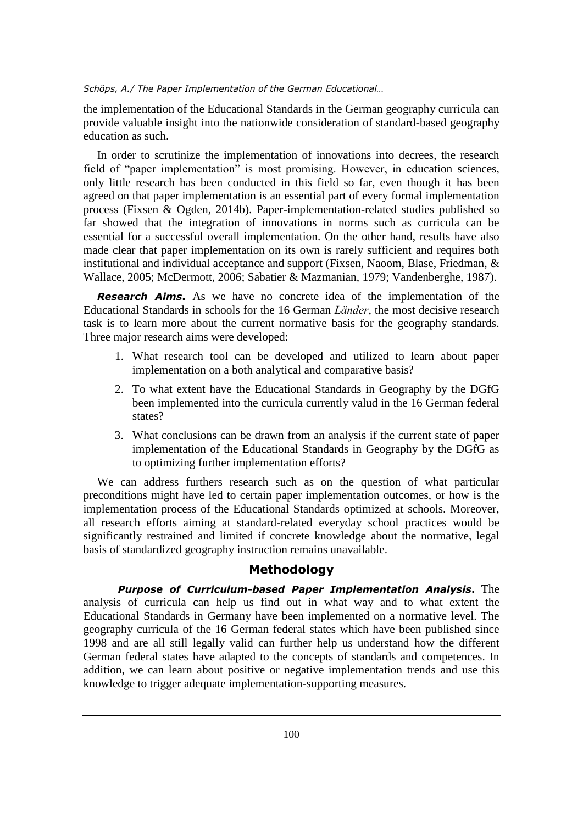the implementation of the Educational Standards in the German geography curricula can provide valuable insight into the nationwide consideration of standard-based geography education as such.

In order to scrutinize the implementation of innovations into decrees, the research field of "paper implementation" is most promising. However, in education sciences, only little research has been conducted in this field so far, even though it has been agreed on that paper implementation is an essential part of every formal implementation process (Fixsen & Ogden, 2014b). Paper-implementation-related studies published so far showed that the integration of innovations in norms such as curricula can be essential for a successful overall implementation. On the other hand, results have also made clear that paper implementation on its own is rarely sufficient and requires both institutional and individual acceptance and support (Fixsen, Naoom, Blase, Friedman, & Wallace, 2005; McDermott, 2006; Sabatier & Mazmanian, 1979; Vandenberghe, 1987).

*Research Aims***.** As we have no concrete idea of the implementation of the Educational Standards in schools for the 16 German *Länder*, the most decisive research task is to learn more about the current normative basis for the geography standards. Three major research aims were developed:

- 1. What research tool can be developed and utilized to learn about paper implementation on a both analytical and comparative basis?
- 2. To what extent have the Educational Standards in Geography by the DGfG been implemented into the curricula currently valud in the 16 German federal states?
- 3. What conclusions can be drawn from an analysis if the current state of paper implementation of the Educational Standards in Geography by the DGfG as to optimizing further implementation efforts?

We can address furthers research such as on the question of what particular preconditions might have led to certain paper implementation outcomes, or how is the implementation process of the Educational Standards optimized at schools. Moreover, all research efforts aiming at standard-related everyday school practices would be significantly restrained and limited if concrete knowledge about the normative, legal basis of standardized geography instruction remains unavailable.

# **Methodology**

*Purpose of Curriculum-based Paper Implementation Analysis***.** The analysis of curricula can help us find out in what way and to what extent the Educational Standards in Germany have been implemented on a normative level. The geography curricula of the 16 German federal states which have been published since 1998 and are all still legally valid can further help us understand how the different German federal states have adapted to the concepts of standards and competences. In addition, we can learn about positive or negative implementation trends and use this knowledge to trigger adequate implementation-supporting measures.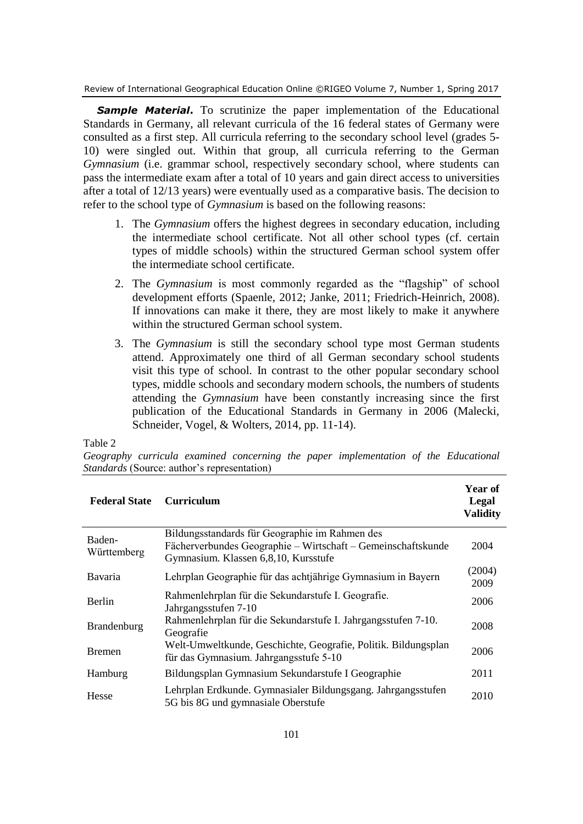Review of International Geographical Education Online ©RIGEO Volume 7, Number 1, Spring 2017

**Sample Material.** To scrutinize the paper implementation of the Educational Standards in Germany, all relevant curricula of the 16 federal states of Germany were consulted as a first step. All curricula referring to the secondary school level (grades 5- 10) were singled out. Within that group, all curricula referring to the German *Gymnasium* (i.e. grammar school, respectively secondary school, where students can pass the intermediate exam after a total of 10 years and gain direct access to universities after a total of 12/13 years) were eventually used as a comparative basis. The decision to refer to the school type of *Gymnasium* is based on the following reasons:

- 1. The *Gymnasium* offers the highest degrees in secondary education, including the intermediate school certificate. Not all other school types (cf. certain types of middle schools) within the structured German school system offer the intermediate school certificate.
- 2. The *Gymnasium* is most commonly regarded as the "flagship" of school development efforts (Spaenle, 2012; Janke, 2011; Friedrich-Heinrich, 2008). If innovations can make it there, they are most likely to make it anywhere within the structured German school system.
- 3. The *Gymnasium* is still the secondary school type most German students attend. Approximately one third of all German secondary school students visit this type of school. In contrast to the other popular secondary school types, middle schools and secondary modern schools, the numbers of students attending the *Gymnasium* have been constantly increasing since the first publication of the Educational Standards in Germany in 2006 (Malecki, Schneider, Vogel, & Wolters, 2014, pp. 11-14).

Table 2

|                                                    |  |  | Geography curricula examined concerning the paper implementation of the Educational |  |  |
|----------------------------------------------------|--|--|-------------------------------------------------------------------------------------|--|--|
| <i>Standards</i> (Source: author's representation) |  |  |                                                                                     |  |  |

| <b>Federal State</b>  | <b>Curriculum</b>                                                                                                                                      | Year of<br>Legal<br><b>Validity</b> |
|-----------------------|--------------------------------------------------------------------------------------------------------------------------------------------------------|-------------------------------------|
| Baden-<br>Württemberg | Bildungsstandards für Geographie im Rahmen des<br>Fächerverbundes Geographie - Wirtschaft - Gemeinschaftskunde<br>Gymnasium. Klassen 6,8,10, Kursstufe | 2004                                |
| Bavaria               | Lehrplan Geographie für das achtjährige Gymnasium in Bayern                                                                                            | (2004)<br>2009                      |
| Berlin                | Rahmenlehrplan für die Sekundarstufe I. Geografie.<br>Jahrgangsstufen 7-10                                                                             | 2006                                |
| Brandenburg           | Rahmenlehrplan für die Sekundarstufe I. Jahrgangsstufen 7-10.<br>Geografie                                                                             | 2008                                |
| <b>Bremen</b>         | Welt-Umweltkunde, Geschichte, Geografie, Politik. Bildungsplan<br>für das Gymnasium. Jahrgangsstufe 5-10                                               | 2006                                |
| Hamburg               | Bildungsplan Gymnasium Sekundarstufe I Geographie                                                                                                      | 2011                                |
| Hesse                 | Lehrplan Erdkunde. Gymnasialer Bildungsgang. Jahrgangsstufen<br>5G bis 8G und gymnasiale Oberstufe                                                     | 2010                                |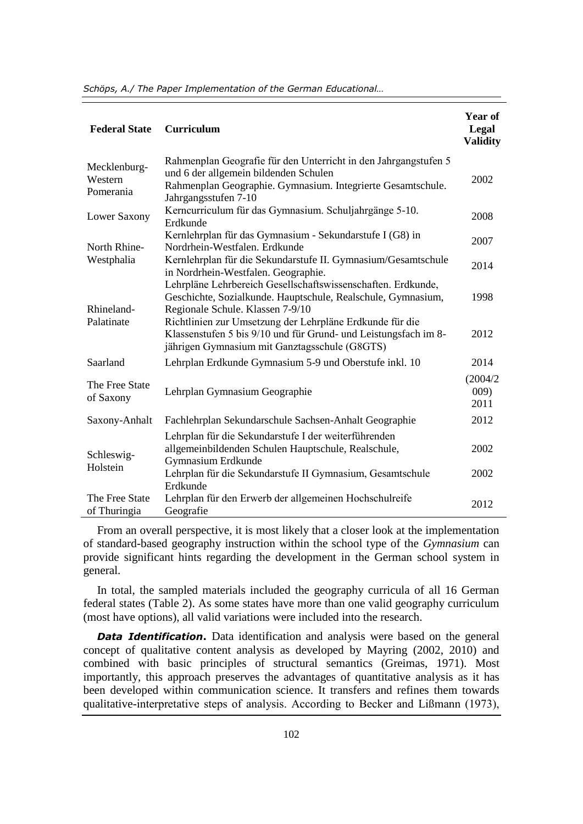*Schöps, A./ The Paper Implementation of the German Educational…*

| <b>Federal State</b>                 | <b>Curriculum</b>                                                                                                                                                                               | Year of<br>Legal<br><b>Validity</b> |
|--------------------------------------|-------------------------------------------------------------------------------------------------------------------------------------------------------------------------------------------------|-------------------------------------|
| Mecklenburg-<br>Western<br>Pomerania | Rahmenplan Geografie für den Unterricht in den Jahrgangstufen 5<br>und 6 der allgemein bildenden Schulen<br>Rahmenplan Geographie. Gymnasium. Integrierte Gesamtschule.<br>Jahrgangsstufen 7-10 | 2002                                |
| Lower Saxony                         | Kerncurriculum für das Gymnasium. Schuljahrgänge 5-10.<br>Erdkunde                                                                                                                              | 2008                                |
| North Rhine-                         | Kernlehrplan für das Gymnasium - Sekundarstufe I (G8) in<br>Nordrhein-Westfalen. Erdkunde                                                                                                       | 2007                                |
| Westphalia                           | Kernlehrplan für die Sekundarstufe II. Gymnasium/Gesamtschule<br>in Nordrhein-Westfalen. Geographie.                                                                                            | 2014                                |
| Rhineland-                           | Lehrpläne Lehrbereich Gesellschaftswissenschaften. Erdkunde,<br>Geschichte, Sozialkunde. Hauptschule, Realschule, Gymnasium,<br>Regionale Schule. Klassen 7-9/10                                | 1998                                |
| Palatinate                           | Richtlinien zur Umsetzung der Lehrpläne Erdkunde für die<br>Klassenstufen 5 bis 9/10 und für Grund- und Leistungsfach im 8-<br>jährigen Gymnasium mit Ganztagsschule (G8GTS)                    | 2012                                |
| Saarland                             | Lehrplan Erdkunde Gymnasium 5-9 und Oberstufe inkl. 10                                                                                                                                          | 2014                                |
| The Free State<br>of Saxony          | Lehrplan Gymnasium Geographie                                                                                                                                                                   | (2004/2)<br>009)<br>2011            |
| Saxony-Anhalt                        | Fachlehrplan Sekundarschule Sachsen-Anhalt Geographie                                                                                                                                           | 2012                                |
| Schleswig-<br>Holstein               | Lehrplan für die Sekundarstufe I der weiterführenden<br>allgemeinbildenden Schulen Hauptschule, Realschule,<br>Gymnasium Erdkunde                                                               | 2002                                |
|                                      | Lehrplan für die Sekundarstufe II Gymnasium, Gesamtschule<br>Erdkunde                                                                                                                           | 2002                                |
| The Free State<br>of Thuringia       | Lehrplan für den Erwerb der allgemeinen Hochschulreife<br>Geografie                                                                                                                             | 2012                                |

From an overall perspective, it is most likely that a closer look at the implementation of standard-based geography instruction within the school type of the *Gymnasium* can provide significant hints regarding the development in the German school system in general.

In total, the sampled materials included the geography curricula of all 16 German federal states (Table 2). As some states have more than one valid geography curriculum (most have options), all valid variations were included into the research.

*Data Identification.* Data identification and analysis were based on the general concept of qualitative content analysis as developed by Mayring (2002, 2010) and combined with basic principles of structural semantics (Greimas, 1971). Most importantly, this approach preserves the advantages of quantitative analysis as it has been developed within communication science. It transfers and refines them towards qualitative-interpretative steps of analysis. According to Becker and Lißmann (1973),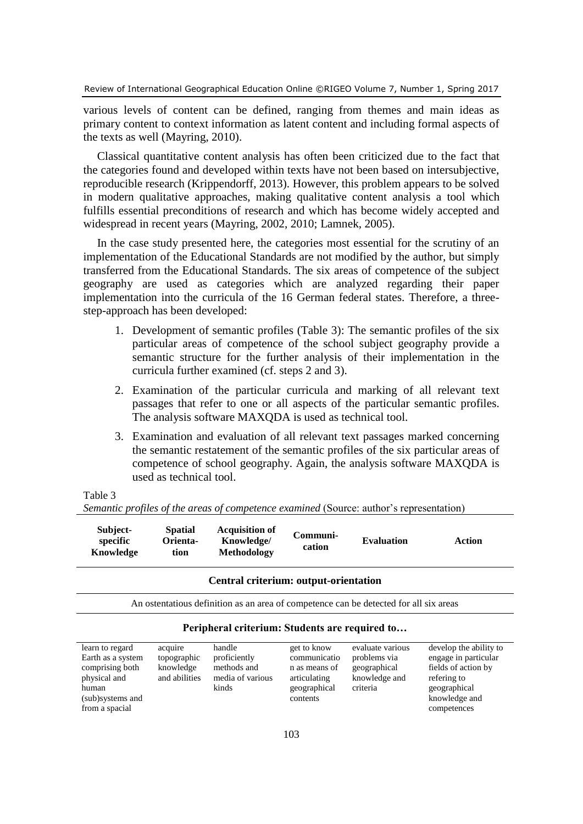various levels of content can be defined, ranging from themes and main ideas as primary content to context information as latent content and including formal aspects of the texts as well (Mayring, 2010).

Classical quantitative content analysis has often been criticized due to the fact that the categories found and developed within texts have not been based on intersubjective, reproducible research (Krippendorff, 2013). However, this problem appears to be solved in modern qualitative approaches, making qualitative content analysis a tool which fulfills essential preconditions of research and which has become widely accepted and widespread in recent years (Mayring, 2002, 2010; Lamnek, 2005).

In the case study presented here, the categories most essential for the scrutiny of an implementation of the Educational Standards are not modified by the author, but simply transferred from the Educational Standards. The six areas of competence of the subject geography are used as categories which are analyzed regarding their paper implementation into the curricula of the 16 German federal states. Therefore, a threestep-approach has been developed:

- 1. Development of semantic profiles (Table 3): The semantic profiles of the six particular areas of competence of the school subject geography provide a semantic structure for the further analysis of their implementation in the curricula further examined (cf. steps 2 and 3).
- 2. Examination of the particular curricula and marking of all relevant text passages that refer to one or all aspects of the particular semantic profiles. The analysis software MAXQDA is used as technical tool.
- 3. Examination and evaluation of all relevant text passages marked concerning the semantic restatement of the semantic profiles of the six particular areas of competence of school geography. Again, the analysis software MAXQDA is used as technical tool.

### Table 3

**Knowledge**

**tion**

|          |                |                       | Semantic profiles of the areas of competence examined (Source: author's representation) |
|----------|----------------|-----------------------|-----------------------------------------------------------------------------------------|
| Subject- | <b>Spatial</b> | <b>Acquisition of</b> | $C\\mmnii.$                                                                             |

### **specific Orienta-Knowledge/ Communication Evaluation Action**

**Methodology**

### **Central criterium: output-orientation**

An ostentatious definition as an area of competence can be detected for all six areas

# **Peripheral criterium: Students are required to…**

| learn to regard   | acquire       | handle           | get to know   | evaluate various | develop the ability to |
|-------------------|---------------|------------------|---------------|------------------|------------------------|
| Earth as a system | topographic   | proficiently     | communicatio  | problems via     | engage in particular   |
| comprising both   | knowledge     | methods and      | n as means of | geographical     | fields of action by    |
| physical and      | and abilities | media of various | articulating  | knowledge and    | refering to            |
| human             |               | kinds            | geographical  | criteria         | geographical           |
| (sub)systems and  |               |                  | contents      |                  | knowledge and          |
| from a spacial    |               |                  |               |                  | competences            |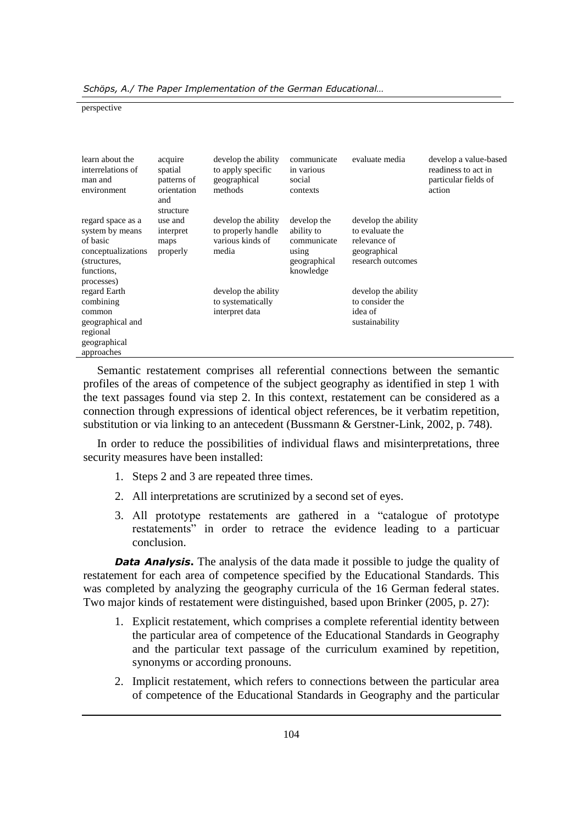*Schöps, A./ The Paper Implementation of the German Educational…*

perspective

| learn about the<br>interrelations of<br>man and<br>environment                                                     | acquire<br>spatial<br>patterns of<br>orientation<br>and<br>structure | develop the ability<br>to apply specific<br>geographical<br>methods    | communicate<br>in various<br>social<br>contexts                                | evaluate media                                                                              | develop a value-based<br>readiness to act in<br>particular fields of<br>action |
|--------------------------------------------------------------------------------------------------------------------|----------------------------------------------------------------------|------------------------------------------------------------------------|--------------------------------------------------------------------------------|---------------------------------------------------------------------------------------------|--------------------------------------------------------------------------------|
| regard space as a<br>system by means<br>of basic<br>conceptualizations<br>(structures,<br>functions.<br>processes) | use and<br>interpret<br>maps<br>properly                             | develop the ability<br>to properly handle<br>various kinds of<br>media | develop the<br>ability to<br>communicate<br>using<br>geographical<br>knowledge | develop the ability<br>to evaluate the<br>relevance of<br>geographical<br>research outcomes |                                                                                |
| regard Earth<br>combining<br>common<br>geographical and<br>regional<br>geographical<br>approaches                  |                                                                      | develop the ability<br>to systematically<br>interpret data             |                                                                                | develop the ability<br>to consider the<br>idea of<br>sustainability                         |                                                                                |

Semantic restatement comprises all referential connections between the semantic profiles of the areas of competence of the subject geography as identified in step 1 with the text passages found via step 2. In this context, restatement can be considered as a connection through expressions of identical object references, be it verbatim repetition, substitution or via linking to an antecedent (Bussmann & Gerstner-Link, 2002, p. 748).

In order to reduce the possibilities of individual flaws and misinterpretations, three security measures have been installed:

- 1. Steps 2 and 3 are repeated three times.
- 2. All interpretations are scrutinized by a second set of eyes.
- 3. All prototype restatements are gathered in a "catalogue of prototype restatements" in order to retrace the evidence leading to a particuar conclusion.

*Data Analysis*. The analysis of the data made it possible to judge the quality of restatement for each area of competence specified by the Educational Standards. This was completed by analyzing the geography curricula of the 16 German federal states. Two major kinds of restatement were distinguished, based upon Brinker (2005, p. 27):

- 1. Explicit restatement, which comprises a complete referential identity between the particular area of competence of the Educational Standards in Geography and the particular text passage of the curriculum examined by repetition, synonyms or according pronouns.
- 2. Implicit restatement, which refers to connections between the particular area of competence of the Educational Standards in Geography and the particular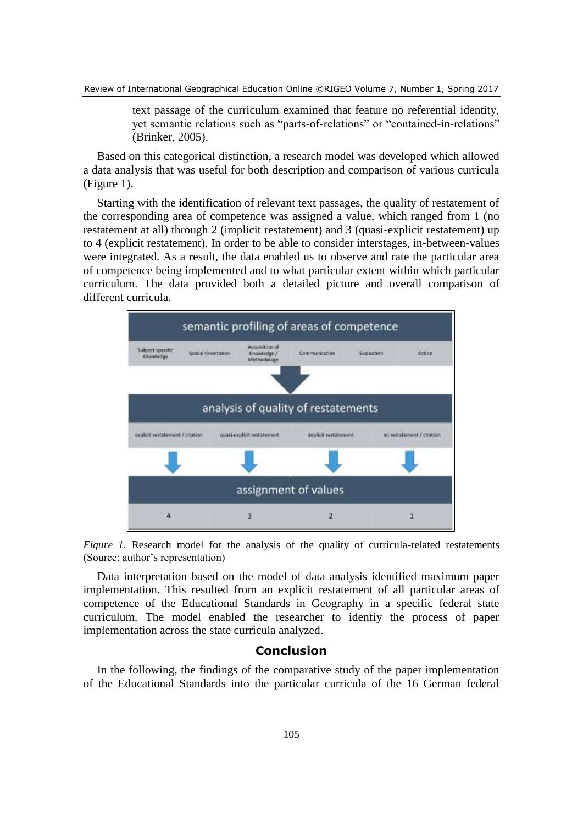text passage of the curriculum examined that feature no referential identity, yet semantic relations such as "parts-of-relations" or "contained-in-relations" (Brinker, 2005).

Based on this categorical distinction, a research model was developed which allowed a data analysis that was useful for both description and comparison of various curricula (Figure 1).

Starting with the identification of relevant text passages, the quality of restatement of the corresponding area of competence was assigned a value, which ranged from 1 (no restatement at all) through 2 (implicit restatement) and 3 (quasi-explicit restatement) up to 4 (explicit restatement). In order to be able to consider interstages, in-between-values were integrated. As a result, the data enabled us to observe and rate the particular area of competence being implemented and to what particular extent within which particular curriculum. The data provided both a detailed picture and overall comparison of different curricula.



*Figure 1.* Research model for the analysis of the quality of curricula-related restatements (Source: author's representation)

Data interpretation based on the model of data analysis identified maximum paper implementation. This resulted from an explicit restatement of all particular areas of competence of the Educational Standards in Geography in a specific federal state curriculum. The model enabled the researcher to idenfiy the process of paper implementation across the state curricula analyzed.

# **Conclusion**

In the following, the findings of the comparative study of the paper implementation of the Educational Standards into the particular curricula of the 16 German federal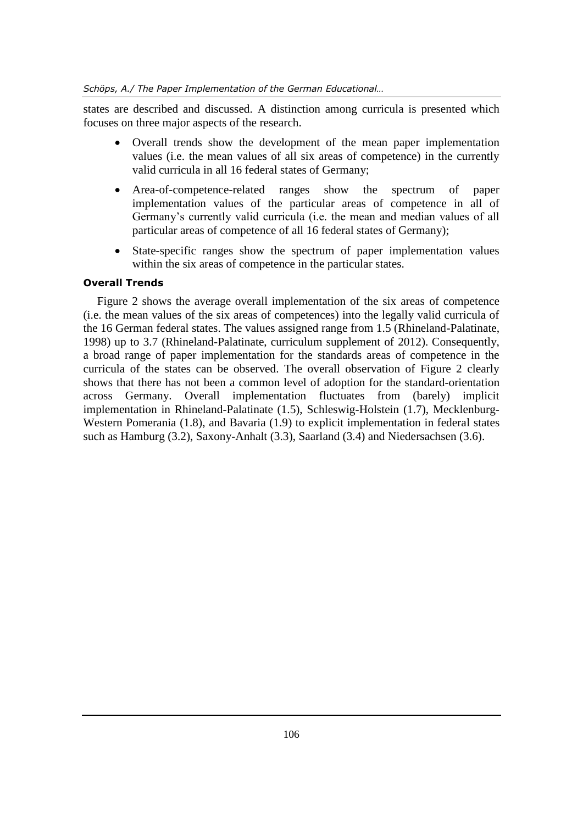states are described and discussed. A distinction among curricula is presented which focuses on three major aspects of the research.

- Overall trends show the development of the mean paper implementation values (i.e. the mean values of all six areas of competence) in the currently valid curricula in all 16 federal states of Germany;
- Area-of-competence-related ranges show the spectrum of paper implementation values of the particular areas of competence in all of Germany's currently valid curricula (i.e. the mean and median values of all particular areas of competence of all 16 federal states of Germany);
- State-specific ranges show the spectrum of paper implementation values within the six areas of competence in the particular states.

# **Overall Trends**

Figure 2 shows the average overall implementation of the six areas of competence (i.e. the mean values of the six areas of competences) into the legally valid curricula of the 16 German federal states. The values assigned range from 1.5 (Rhineland-Palatinate, 1998) up to 3.7 (Rhineland-Palatinate, curriculum supplement of 2012). Consequently, a broad range of paper implementation for the standards areas of competence in the curricula of the states can be observed. The overall observation of Figure 2 clearly shows that there has not been a common level of adoption for the standard-orientation across Germany. Overall implementation fluctuates from (barely) implicit implementation in Rhineland-Palatinate (1.5), Schleswig-Holstein (1.7), Mecklenburg-Western Pomerania (1.8), and Bavaria (1.9) to explicit implementation in federal states such as Hamburg (3.2), Saxony-Anhalt (3.3), Saarland (3.4) and Niedersachsen (3.6).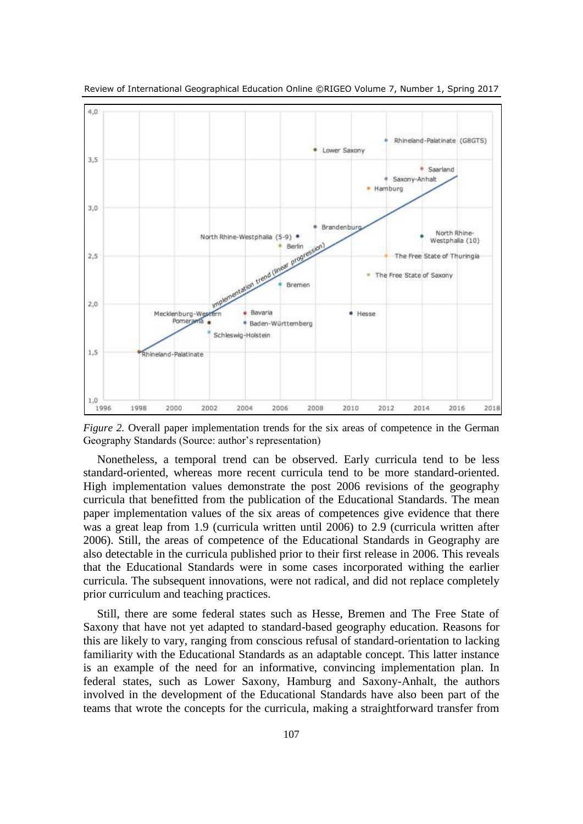

Review of International Geographical Education Online ©RIGEO Volume 7, Number 1, Spring 2017

*Figure 2.* Overall paper implementation trends for the six areas of competence in the German Geography Standards (Source: author's representation)

Nonetheless, a temporal trend can be observed. Early curricula tend to be less standard-oriented, whereas more recent curricula tend to be more standard-oriented. High implementation values demonstrate the post 2006 revisions of the geography curricula that benefitted from the publication of the Educational Standards. The mean paper implementation values of the six areas of competences give evidence that there was a great leap from 1.9 (curricula written until 2006) to 2.9 (curricula written after 2006). Still, the areas of competence of the Educational Standards in Geography are also detectable in the curricula published prior to their first release in 2006. This reveals that the Educational Standards were in some cases incorporated withing the earlier curricula. The subsequent innovations, were not radical, and did not replace completely prior curriculum and teaching practices.

Still, there are some federal states such as Hesse, Bremen and The Free State of Saxony that have not yet adapted to standard-based geography education. Reasons for this are likely to vary, ranging from conscious refusal of standard-orientation to lacking familiarity with the Educational Standards as an adaptable concept. This latter instance is an example of the need for an informative, convincing implementation plan. In federal states, such as Lower Saxony, Hamburg and Saxony-Anhalt, the authors involved in the development of the Educational Standards have also been part of the teams that wrote the concepts for the curricula, making a straightforward transfer from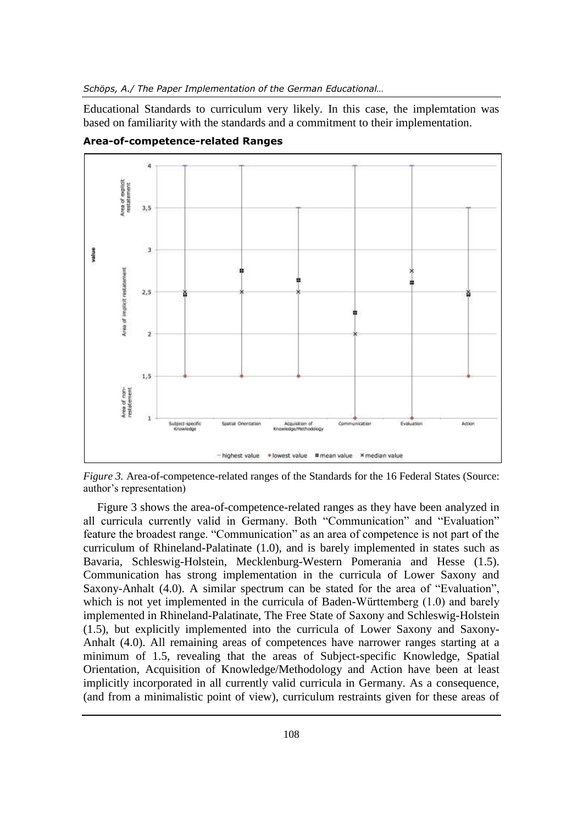Educational Standards to curriculum very likely. In this case, the implemtation was based on familiarity with the standards and a commitment to their implementation.



**Area-of-competence-related Ranges**

*Figure 3.* Area-of-competence-related ranges of the Standards for the 16 Federal States (Source: author's representation)

Figure 3 shows the area-of-competence-related ranges as they have been analyzed in all curricula currently valid in Germany. Both "Communication" and "Evaluation" feature the broadest range. "Communication" as an area of competence is not part of the curriculum of Rhineland-Palatinate (1.0), and is barely implemented in states such as Bavaria, Schleswig-Holstein, Mecklenburg-Western Pomerania and Hesse (1.5). Communication has strong implementation in the curricula of Lower Saxony and Saxony-Anhalt (4.0). A similar spectrum can be stated for the area of "Evaluation", which is not yet implemented in the curricula of Baden-Württemberg (1.0) and barely implemented in Rhineland-Palatinate, The Free State of Saxony and Schleswig-Holstein (1.5), but explicitly implemented into the curricula of Lower Saxony and Saxony-Anhalt (4.0). All remaining areas of competences have narrower ranges starting at a minimum of 1.5, revealing that the areas of Subject-specific Knowledge, Spatial Orientation, Acquisition of Knowledge/Methodology and Action have been at least implicitly incorporated in all currently valid curricula in Germany. As a consequence, (and from a minimalistic point of view), curriculum restraints given for these areas of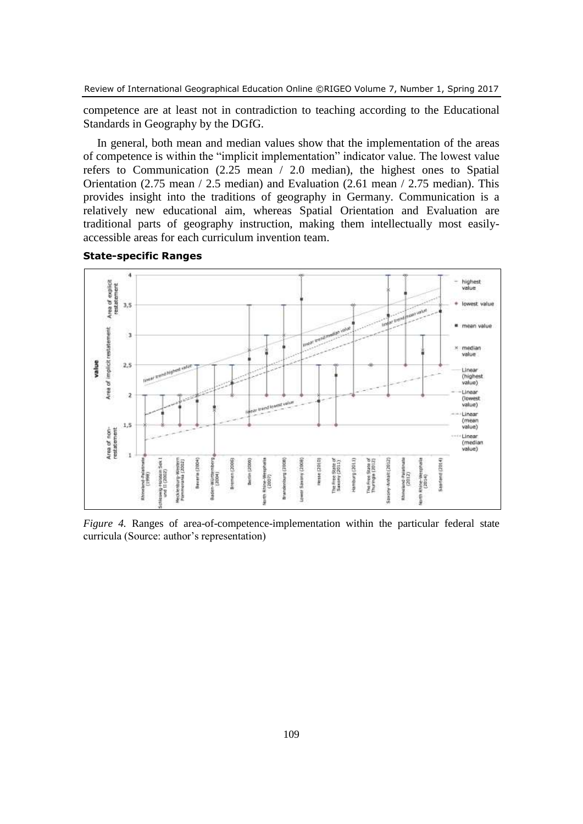competence are at least not in contradiction to teaching according to the Educational Standards in Geography by the DGfG.

In general, both mean and median values show that the implementation of the areas of competence is within the "implicit implementation" indicator value. The lowest value refers to Communication (2.25 mean / 2.0 median), the highest ones to Spatial Orientation (2.75 mean / 2.5 median) and Evaluation (2.61 mean / 2.75 median). This provides insight into the traditions of geography in Germany. Communication is a relatively new educational aim, whereas Spatial Orientation and Evaluation are traditional parts of geography instruction, making them intellectually most easilyaccessible areas for each curriculum invention team.





*Figure 4.* Ranges of area-of-competence-implementation within the particular federal state curricula (Source: author's representation)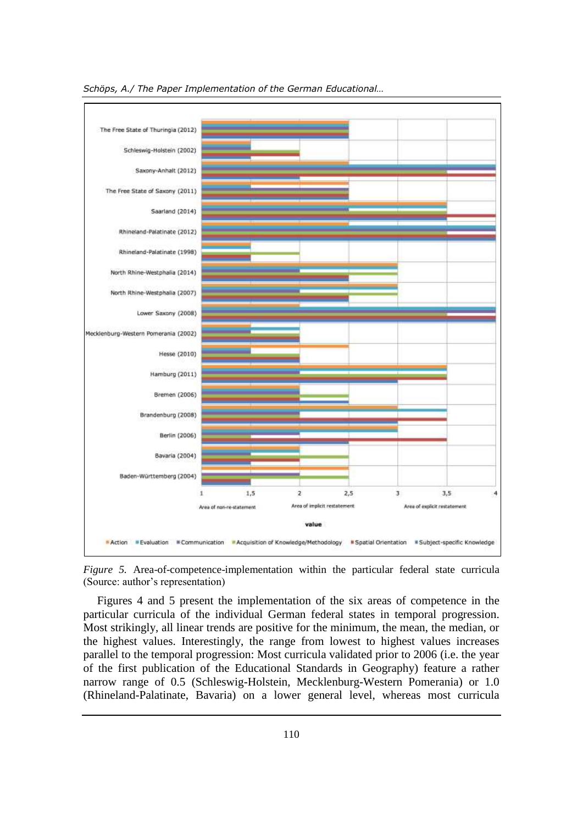

*Schöps, A./ The Paper Implementation of the German Educational…*

*Figure 5.* Area-of-competence-implementation within the particular federal state curricula (Source: author's representation)

Figures 4 and 5 present the implementation of the six areas of competence in the particular curricula of the individual German federal states in temporal progression. Most strikingly, all linear trends are positive for the minimum, the mean, the median, or the highest values. Interestingly, the range from lowest to highest values increases parallel to the temporal progression: Most curricula validated prior to 2006 (i.e. the year of the first publication of the Educational Standards in Geography) feature a rather narrow range of 0.5 (Schleswig-Holstein, Mecklenburg-Western Pomerania) or 1.0 (Rhineland-Palatinate, Bavaria) on a lower general level, whereas most curricula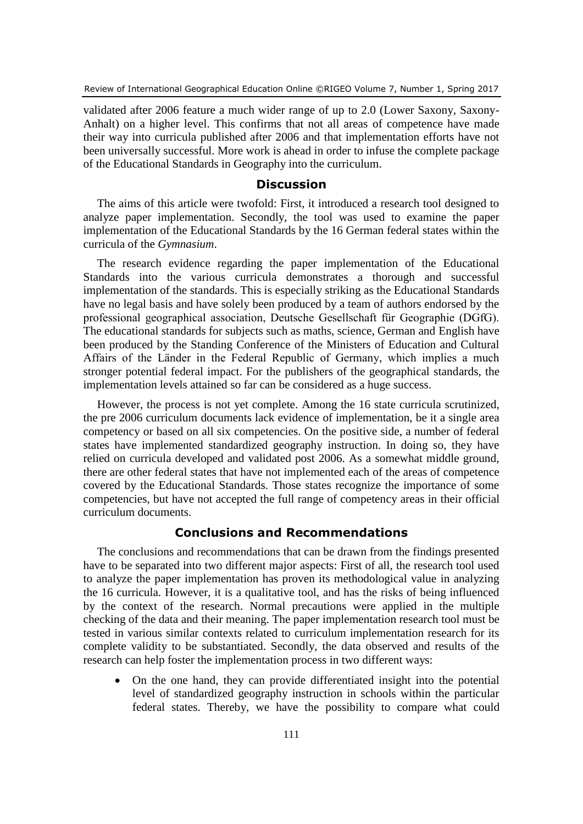validated after 2006 feature a much wider range of up to 2.0 (Lower Saxony, Saxony-Anhalt) on a higher level. This confirms that not all areas of competence have made their way into curricula published after 2006 and that implementation efforts have not been universally successful. More work is ahead in order to infuse the complete package of the Educational Standards in Geography into the curriculum.

# **Discussion**

The aims of this article were twofold: First, it introduced a research tool designed to analyze paper implementation. Secondly, the tool was used to examine the paper implementation of the Educational Standards by the 16 German federal states within the curricula of the *Gymnasium*.

The research evidence regarding the paper implementation of the Educational Standards into the various curricula demonstrates a thorough and successful implementation of the standards. This is especially striking as the Educational Standards have no legal basis and have solely been produced by a team of authors endorsed by the professional geographical association, Deutsche Gesellschaft für Geographie (DGfG). The educational standards for subjects such as maths, science, German and English have been produced by the Standing Conference of the Ministers of Education and Cultural Affairs of the Länder in the Federal Republic of Germany, which implies a much stronger potential federal impact. For the publishers of the geographical standards, the implementation levels attained so far can be considered as a huge success.

However, the process is not yet complete. Among the 16 state curricula scrutinized, the pre 2006 curriculum documents lack evidence of implementation, be it a single area competency or based on all six competencies. On the positive side, a number of federal states have implemented standardized geography instruction. In doing so, they have relied on curricula developed and validated post 2006. As a somewhat middle ground, there are other federal states that have not implemented each of the areas of competence covered by the Educational Standards. Those states recognize the importance of some competencies, but have not accepted the full range of competency areas in their official curriculum documents.

# **Conclusions and Recommendations**

The conclusions and recommendations that can be drawn from the findings presented have to be separated into two different major aspects: First of all, the research tool used to analyze the paper implementation has proven its methodological value in analyzing the 16 curricula. However, it is a qualitative tool, and has the risks of being influenced by the context of the research. Normal precautions were applied in the multiple checking of the data and their meaning. The paper implementation research tool must be tested in various similar contexts related to curriculum implementation research for its complete validity to be substantiated. Secondly, the data observed and results of the research can help foster the implementation process in two different ways:

 On the one hand, they can provide differentiated insight into the potential level of standardized geography instruction in schools within the particular federal states. Thereby, we have the possibility to compare what could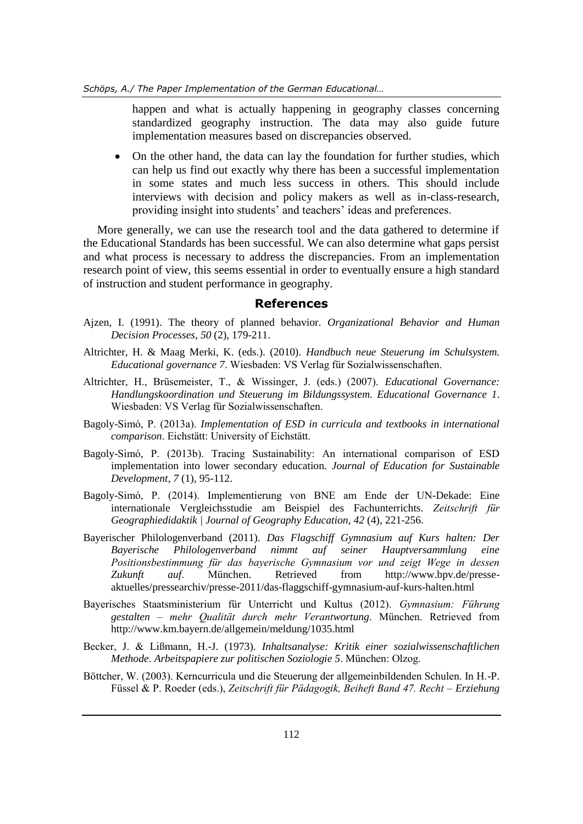happen and what is actually happening in geography classes concerning standardized geography instruction. The data may also guide future implementation measures based on discrepancies observed.

 On the other hand, the data can lay the foundation for further studies, which can help us find out exactly why there has been a successful implementation in some states and much less success in others. This should include interviews with decision and policy makers as well as in-class-research, providing insight into students' and teachers' ideas and preferences.

More generally, we can use the research tool and the data gathered to determine if the Educational Standards has been successful. We can also determine what gaps persist and what process is necessary to address the discrepancies. From an implementation research point of view, this seems essential in order to eventually ensure a high standard of instruction and student performance in geography.

### **References**

- Ajzen, I. (1991). The theory of planned behavior. *Organizational Behavior and Human Decision Processes*, *50* (2), 179-211.
- Altrichter, H. & Maag Merki, K. (eds.). (2010). *Handbuch neue Steuerung im Schulsystem. Educational governance 7*. Wiesbaden: VS Verlag für Sozialwissenschaften.
- Altrichter, H., Brüsemeister, T., & Wissinger, J. (eds.) (2007). *Educational Governance: Handlungskoordination und Steuerung im Bildungssystem. Educational Governance 1*. Wiesbaden: VS Verlag für Sozialwissenschaften.
- Bagoly-Simó, P. (2013a). *Implementation of ESD in curricula and textbooks in international comparison*. Eichstätt: University of Eichstätt.
- Bagoly-Simó, P. (2013b). Tracing Sustainability: An international comparison of ESD implementation into lower secondary education. *Journal of Education for Sustainable Development*, *7* (1), 95-112.
- Bagoly-Simó, P. (2014). Implementierung von BNE am Ende der UN-Dekade: Eine internationale Vergleichsstudie am Beispiel des Fachunterrichts. *Zeitschrift für Geographiedidaktik | Journal of Geography Education*, *42* (4), 221-256.
- Bayerischer Philologenverband (2011). *Das Flagschiff Gymnasium auf Kurs halten: Der Bayerische Philologenverband nimmt auf seiner Hauptversammlung eine Positionsbestimmung für das bayerische Gymnasium vor und zeigt Wege in dessen* <br>Zukunft auf. München. Retrieved from http://www.bpv.de/presse-*Zukunft auf*. München. Retrieved from http://www.bpv.de/presseaktuelles/pressearchiv/presse-2011/das-flaggschiff-gymnasium-auf-kurs-halten.html
- Bayerisches Staatsministerium für Unterricht und Kultus (2012). *Gymnasium: Führung gestalten – mehr Qualität durch mehr Verantwortung*. München. Retrieved from http://www.km.bayern.de/allgemein/meldung/1035.html
- Becker, J. & Lißmann, H.-J. (1973). *Inhaltsanalyse: Kritik einer sozialwissenschaftlichen Methode*. *Arbeitspapiere zur politischen Soziologie 5*. München: Olzog.
- Böttcher, W. (2003). Kerncurricula und die Steuerung der allgemeinbildenden Schulen. In H.-P. Füssel & P. Roeder (eds.), *Zeitschrift für Pädagogik, Beiheft Band 47. Recht – Erziehung*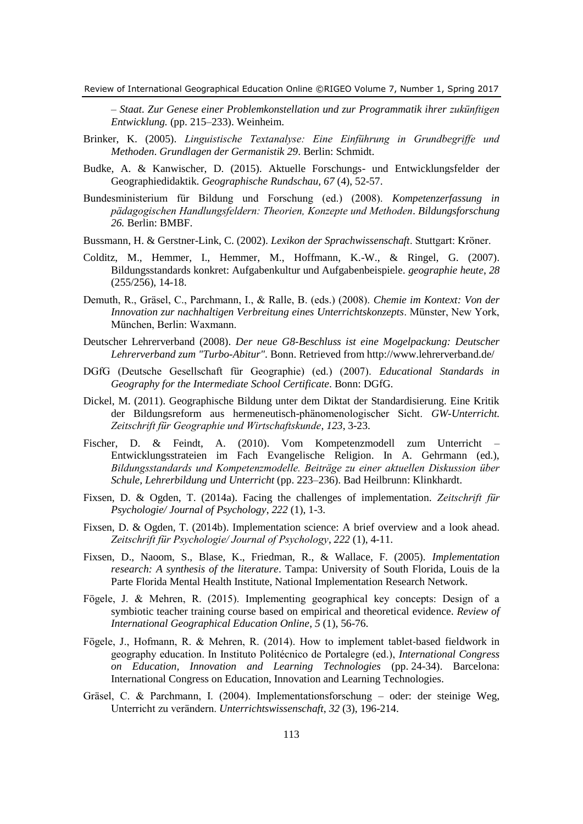*– Staat. Zur Genese einer Problemkonstellation und zur Programmatik ihrer zukünftigen Entwicklung.* (pp. 215–233). Weinheim.

- Brinker, K. (2005). *Linguistische Textanalyse: Eine Einführung in Grundbegriffe und Methoden*. *Grundlagen der Germanistik 29*. Berlin: Schmidt.
- Budke, A. & Kanwischer, D. (2015). Aktuelle Forschungs- und Entwicklungsfelder der Geographiedidaktik. *Geographische Rundschau, 67* (4), 52-57.
- Bundesministerium für Bildung und Forschung (ed.) (2008). *Kompetenzerfassung in pädagogischen Handlungsfeldern: Theorien, Konzepte und Methoden*. *Bildungsforschung 26.* Berlin: BMBF.
- Bussmann, H. & Gerstner-Link, C. (2002). *Lexikon der Sprachwissenschaft*. Stuttgart: Kröner.
- Colditz, M., Hemmer, I., Hemmer, M., Hoffmann, K.-W., & Ringel, G. (2007). Bildungsstandards konkret: Aufgabenkultur und Aufgabenbeispiele. *geographie heute*, *28*  (255/256), 14-18.
- Demuth, R., Gräsel, C., Parchmann, I., & Ralle, B. (eds.) (2008). *Chemie im Kontext: Von der Innovation zur nachhaltigen Verbreitung eines Unterrichtskonzepts*. Münster, New York, München, Berlin: Waxmann.
- Deutscher Lehrerverband (2008). *Der neue G8-Beschluss ist eine Mogelpackung: Deutscher Lehrerverband zum "Turbo-Abitur"*. Bonn. Retrieved from http://www.lehrerverband.de/
- DGfG (Deutsche Gesellschaft für Geographie) (ed.) (2007). *Educational Standards in Geography for the Intermediate School Certificate*. Bonn: DGfG.
- Dickel, M. (2011). Geographische Bildung unter dem Diktat der Standardisierung. Eine Kritik der Bildungsreform aus hermeneutisch-phänomenologischer Sicht. *GW-Unterricht. Zeitschrift für Geographie und Wirtschaftskunde*, *123*, 3-23.
- Fischer, D. & Feindt, A. (2010). Vom Kompetenzmodell zum Unterricht Entwicklungsstrateien im Fach Evangelische Religion. In A. Gehrmann (ed.), *Bildungsstandards und Kompetenzmodelle. Beiträge zu einer aktuellen Diskussion über Schule, Lehrerbildung und Unterricht* (pp. 223–236). Bad Heilbrunn: Klinkhardt.
- Fixsen, D. & Ogden, T. (2014a). Facing the challenges of implementation. *Zeitschrift für Psychologie/ Journal of Psychology*, *222* (1), 1-3.
- Fixsen, D. & Ogden, T. (2014b). Implementation science: A brief overview and a look ahead. *Zeitschrift für Psychologie/ Journal of Psychology*, *222* (1), 4-11.
- Fixsen, D., Naoom, S., Blase, K., Friedman, R., & Wallace, F. (2005). *Implementation research: A synthesis of the literature*. Tampa: University of South Florida, Louis de la Parte Florida Mental Health Institute, National Implementation Research Network.
- Fögele, J. & Mehren, R. (2015). Implementing geographical key concepts: Design of a symbiotic teacher training course based on empirical and theoretical evidence. *Review of International Geographical Education Online*, *5* (1), 56-76.
- Fögele, J., Hofmann, R. & Mehren, R. (2014). How to implement tablet-based fieldwork in geography education. In Instituto Politécnico de Portalegre (ed.), *International Congress on Education, Innovation and Learning Technologies* (pp. 24-34). Barcelona: International Congress on Education, Innovation and Learning Technologies.
- Gräsel, C. & Parchmann, I. (2004). Implementationsforschung oder: der steinige Weg, Unterricht zu verändern. *Unterrichtswissenschaft*, *32* (3), 196-214.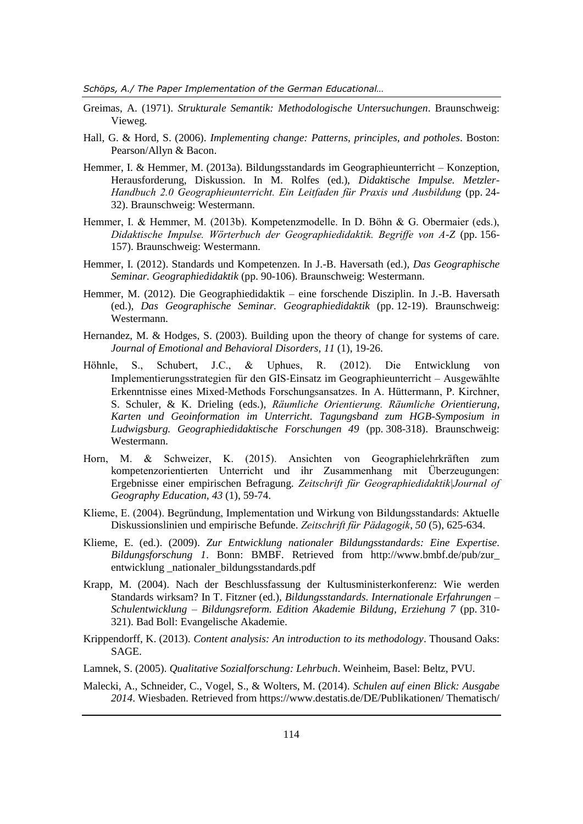*Schöps, A./ The Paper Implementation of the German Educational…*

- Greimas, A. (1971). *Strukturale Semantik: Methodologische Untersuchungen*. Braunschweig: Vieweg.
- Hall, G. & Hord, S. (2006). *Implementing change: Patterns, principles, and potholes*. Boston: Pearson/Allyn & Bacon.
- Hemmer, I. & Hemmer, M. (2013a). Bildungsstandards im Geographieunterricht Konzeption, Herausforderung, Diskussion. In M. Rolfes (ed.), *Didaktische Impulse. Metzler-Handbuch 2.0 Geographieunterricht. Ein Leitfaden für Praxis und Ausbildung* (pp. 24- 32). Braunschweig: Westermann.
- Hemmer, I. & Hemmer, M. (2013b). Kompetenzmodelle. In D. Böhn & G. Obermaier (eds.), *Didaktische Impulse. Wörterbuch der Geographiedidaktik. Begriffe von A-Z* (pp. 156- 157). Braunschweig: Westermann.
- Hemmer, I. (2012). Standards und Kompetenzen. In J.-B. Haversath (ed.), *Das Geographische Seminar. Geographiedidaktik* (pp. 90-106). Braunschweig: Westermann.
- Hemmer, M. (2012). Die Geographiedidaktik eine forschende Disziplin. In J.-B. Haversath (ed.), *Das Geographische Seminar. Geographiedidaktik* (pp. 12-19). Braunschweig: Westermann.
- Hernandez, M. & Hodges, S. (2003). Building upon the theory of change for systems of care. *Journal of Emotional and Behavioral Disorders*, *11* (1), 19-26.
- Höhnle, S., Schubert, J.C., & Uphues, R. (2012). Die Entwicklung von Implementierungsstrategien für den GIS‐Einsatz im Geographieunterricht – Ausgewählte Erkenntnisse eines Mixed‐Methods Forschungsansatzes. In A. Hüttermann, P. Kirchner, S. Schuler, & K. Drieling (eds.), *Räumliche Orientierung. Räumliche Orientierung, Karten und Geoinformation im Unterricht. Tagungsband zum HGB-Symposium in Ludwigsburg. Geographiedidaktische Forschungen 49* (pp. 308-318). Braunschweig: Westermann.
- Horn, M. & Schweizer, K. (2015). Ansichten von Geographielehrkräften zum kompetenzorientierten Unterricht und ihr Zusammenhang mit Überzeugungen: Ergebnisse einer empirischen Befragung. *Zeitschrift für Geographiedidaktik|Journal of Geography Education*, *43* (1), 59-74.
- Klieme, E. (2004). Begründung, Implementation und Wirkung von Bildungsstandards: Aktuelle Diskussionslinien und empirische Befunde. *Zeitschrift für Pädagogik*, *50* (5), 625-634.
- Klieme, E. (ed.). (2009). *Zur Entwicklung nationaler Bildungsstandards: Eine Expertise. Bildungsforschung 1*. Bonn: BMBF. Retrieved from http://www.bmbf.de/pub/zur\_ entwicklung \_nationaler\_bildungsstandards.pdf
- Krapp, M. (2004). Nach der Beschlussfassung der Kultusministerkonferenz: Wie werden Standards wirksam? In T. Fitzner (ed.), *Bildungsstandards. Internationale Erfahrungen – Schulentwicklung – Bildungsreform. Edition Akademie Bildung, Erziehung 7* (pp. 310- 321). Bad Boll: Evangelische Akademie.
- Krippendorff, K. (2013). *Content analysis: An introduction to its methodology*. Thousand Oaks: SAGE.
- Lamnek, S. (2005). *Qualitative Sozialforschung: Lehrbuch*. Weinheim, Basel: Beltz, PVU.
- Malecki, A., Schneider, C., Vogel, S., & Wolters, M. (2014). *Schulen auf einen Blick: Ausgabe 2014*. Wiesbaden. Retrieved from https://www.destatis.de/DE/Publikationen/ Thematisch/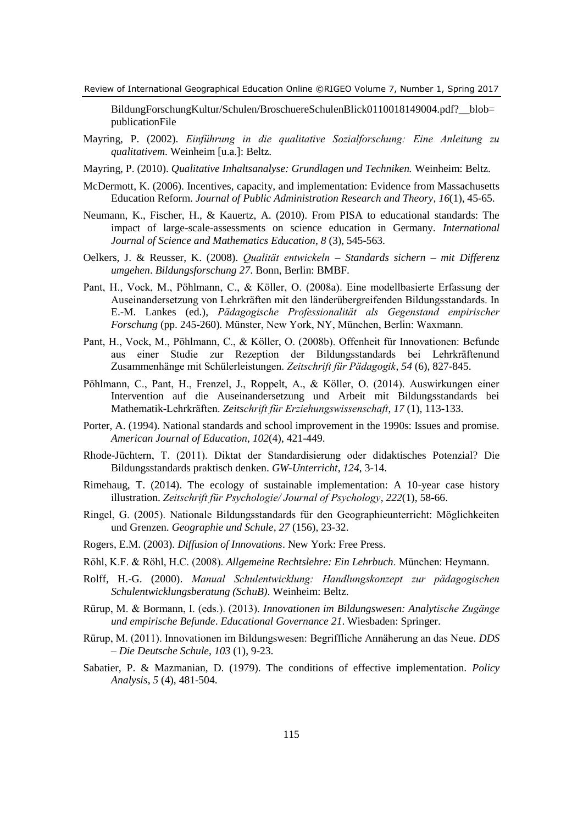BildungForschungKultur/Schulen/BroschuereSchulenBlick0110018149004.pdf?\_\_blob= publicationFile

- Mayring, P. (2002). *Einführung in die qualitative Sozialforschung: Eine Anleitung zu qualitativem*. Weinheim [u.a.]: Beltz.
- Mayring, P. (2010). *Qualitative Inhaltsanalyse: Grundlagen und Techniken.* Weinheim: Beltz.
- McDermott, K. (2006). Incentives, capacity, and implementation: Evidence from Massachusetts Education Reform. *Journal of Public Administration Research and Theory*, *16*(1), 45-65.
- Neumann, K., Fischer, H., & Kauertz, A. (2010). From PISA to educational standards: The impact of large-scale-assessments on science education in Germany. *International Journal of Science and Mathematics Education*, *8* (3), 545-563.
- Oelkers, J. & Reusser, K. (2008). *Qualität entwickeln – Standards sichern – mit Differenz umgehen*. *Bildungsforschung 27*. Bonn, Berlin: BMBF.
- Pant, H., Vock, M., Pöhlmann, C., & Köller, O. (2008a). Eine modellbasierte Erfassung der Auseinandersetzung von Lehrkräften mit den länderübergreifenden Bildungsstandards. In E.-M. Lankes (ed.), *Pädagogische Professionalität als Gegenstand empirischer Forschung* (pp. 245-260)*.* Münster, New York, NY, München, Berlin: Waxmann.
- Pant, H., Vock, M., Pöhlmann, C., & Köller, O. (2008b). Offenheit für Innovationen: Befunde aus einer Studie zur Rezeption der Bildungsstandards bei Lehrkräftenund Zusammenhänge mit Schülerleistungen. *Zeitschrift für Pädagogik*, *54* (6), 827-845.
- Pöhlmann, C., Pant, H., Frenzel, J., Roppelt, A., & Köller, O. (2014). Auswirkungen einer Intervention auf die Auseinandersetzung und Arbeit mit Bildungsstandards bei Mathematik-Lehrkräften. *Zeitschrift für Erziehungswissenschaft*, *17* (1), 113-133.
- Porter, A. (1994). National standards and school improvement in the 1990s: Issues and promise. *American Journal of Education*, *102*(4), 421-449.
- Rhode-Jüchtern, T. (2011). Diktat der Standardisierung oder didaktisches Potenzial? Die Bildungsstandards praktisch denken. *GW-Unterricht*, *124*, 3-14.
- Rimehaug, T. (2014). The ecology of sustainable implementation: A 10-year case history illustration. *Zeitschrift für Psychologie/ Journal of Psychology*, *222*(1), 58-66.
- Ringel, G. (2005). Nationale Bildungsstandards für den Geographieunterricht: Möglichkeiten und Grenzen. *Geographie und Schule*, *27* (156), 23-32.
- Rogers, E.M. (2003). *Diffusion of Innovations*. New York: Free Press.
- Röhl, K.F. & Röhl, H.C. (2008). *Allgemeine Rechtslehre: Ein Lehrbuch*. München: Heymann.
- Rolff, H.-G. (2000). *Manual Schulentwicklung: Handlungskonzept zur pädagogischen Schulentwicklungsberatung (SchuB)*. Weinheim: Beltz.
- Rürup, M. & Bormann, I. (eds.). (2013). *Innovationen im Bildungswesen: Analytische Zugänge und empirische Befunde*. *Educational Governance 21*. Wiesbaden: Springer.
- Rürup, M. (2011). Innovationen im Bildungswesen: Begriffliche Annäherung an das Neue. *DDS – Die Deutsche Schule*, *103* (1), 9-23.
- Sabatier, P. & Mazmanian, D. (1979). The conditions of effective implementation. *Policy Analysis*, *5* (4), 481-504.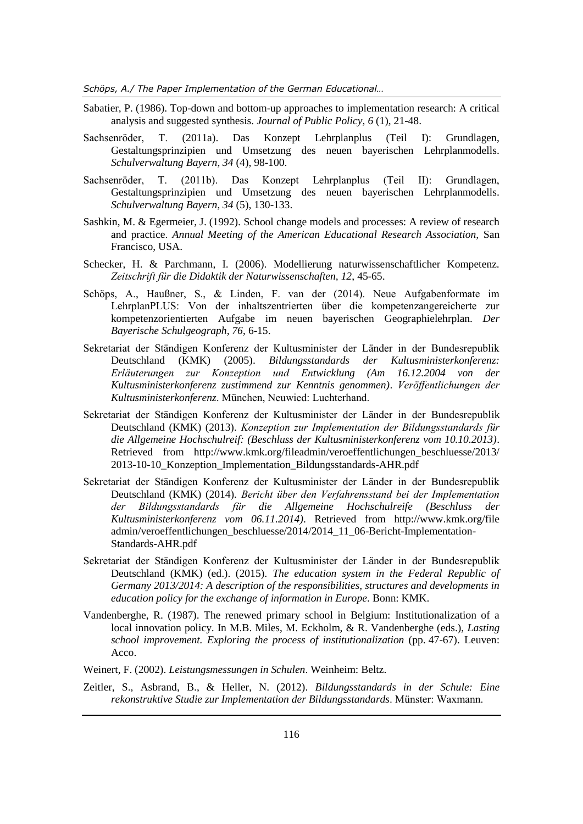*Schöps, A./ The Paper Implementation of the German Educational…*

- Sabatier, P. (1986). Top-down and bottom-up approaches to implementation research: A critical analysis and suggested synthesis. *Journal of Public Policy*, *6* (1), 21-48.
- Sachsenröder, T. (2011a). Das Konzept Lehrplanplus (Teil I): Grundlagen, Gestaltungsprinzipien und Umsetzung des neuen bayerischen Lehrplanmodells. *Schulverwaltung Bayern*, *34* (4), 98-100.
- Sachsenröder, T. (2011b). Das Konzept Lehrplanplus (Teil II): Grundlagen, Gestaltungsprinzipien und Umsetzung des neuen bayerischen Lehrplanmodells. *Schulverwaltung Bayern*, *34* (5), 130-133.
- Sashkin, M. & Egermeier, J. (1992). School change models and processes: A review of research and practice. *Annual Meeting of the American Educational Research Association,* San Francisco, USA.
- Schecker, H. & Parchmann, I. (2006). Modellierung naturwissenschaftlicher Kompetenz. *Zeitschrift für die Didaktik der Naturwissenschaften, 12*, 45-65.
- Schöps, A., Haußner, S., & Linden, F. van der (2014). Neue Aufgabenformate im LehrplanPLUS: Von der inhaltszentrierten über die kompetenzangereicherte zur kompetenzorientierten Aufgabe im neuen bayerischen Geographielehrplan. *Der Bayerische Schulgeograph, 76*, 6-15.
- Sekretariat der Ständigen Konferenz der Kultusminister der Länder in der Bundesrepublik Deutschland (KMK) (2005). *Bildungsstandards der Kultusministerkonferenz: Erläuterungen zur Konzeption und Entwicklung (Am 16.12.2004 von der Kultusministerkonferenz zustimmend zur Kenntnis genommen)*. *Veröffentlichungen der Kultusministerkonferenz*. München, Neuwied: Luchterhand.
- Sekretariat der Ständigen Konferenz der Kultusminister der Länder in der Bundesrepublik Deutschland (KMK) (2013). *Konzeption zur Implementation der Bildungsstandards für die Allgemeine Hochschulreif: (Beschluss der Kultusministerkonferenz vom 10.10.2013)*. Retrieved from http://www.kmk.org/fileadmin/veroeffentlichungen\_beschluesse/2013/ 2013-10-10\_Konzeption\_Implementation\_Bildungsstandards-AHR.pdf
- Sekretariat der Ständigen Konferenz der Kultusminister der Länder in der Bundesrepublik Deutschland (KMK) (2014). *Bericht über den Verfahrensstand bei der Implementation der Bildungsstandards für die Allgemeine Hochschulreife (Beschluss der Kultusministerkonferenz vom 06.11.2014)*. Retrieved from http://www.kmk.org/file admin/veroeffentlichungen\_beschluesse/2014/2014\_11\_06-Bericht-Implementation-Standards-AHR.pdf
- Sekretariat der Ständigen Konferenz der Kultusminister der Länder in der Bundesrepublik Deutschland (KMK) (ed.). (2015). *The education system in the Federal Republic of Germany 2013/2014: A description of the responsibilities, structures and developments in education policy for the exchange of information in Europe*. Bonn: KMK.
- Vandenberghe, R. (1987). The renewed primary school in Belgium: Institutionalization of a local innovation policy. In M.B. Miles, M. Eckholm, & R. Vandenberghe (eds.), *Lasting school improvement. Exploring the process of institutionalization* (pp. 47-67). Leuven: Acco.
- Weinert, F. (2002). *Leistungsmessungen in Schulen*. Weinheim: Beltz.
- Zeitler, S., Asbrand, B., & Heller, N. (2012). *Bildungsstandards in der Schule: Eine rekonstruktive Studie zur Implementation der Bildungsstandards*. Münster: Waxmann.